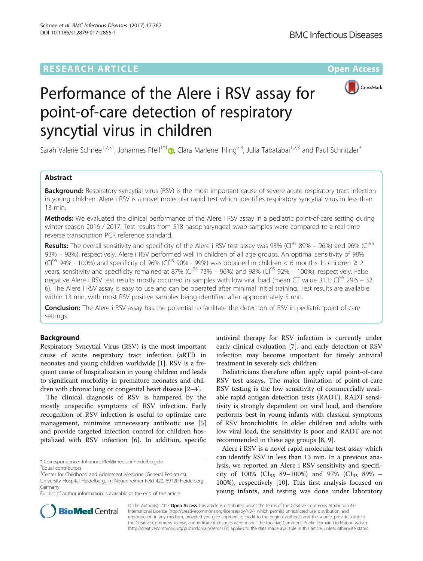## **RESEARCH ARTICLE Example 2014 12:30 The Contract of Contract ACCESS**



# Performance of the Alere i RSV assay for point-of-care detection of respiratory syncytial virus in children

Sarah Valerie Schnee<sup>1,2,3[†](http://orcid.org/0000-0003-0104-8375)</sup>, Johannes Pfeil<sup>1\*†</sup>®, Clara Marlene Ihling<sup>2,3</sup>, Julia Tabatabai<sup>1,2,3</sup> and Paul Schnitzler<sup>3</sup>

## Abstract

**Background:** Respiratory syncytial virus (RSV) is the most important cause of severe acute respiratory tract infection in young children. Alere i RSV is a novel molecular rapid test which identifies respiratory syncytial virus in less than 13 min.

Methods: We evaluated the clinical performance of the Alere i RSV assay in a pediatric point-of-care setting during winter season 2016 / 2017. Test results from 518 nasopharyngeal swab samples were compared to a real-time reverse transcription PCR reference standard.

**Results:** The overall sensitivity and specificity of the Alere i RSV test assay was 93% (Cl<sup>95</sup> 89% – 96%) and 96% (Cl<sup>95</sup> 93% – 98%), respectively. Alere i RSV performed well in children of all age groups. An optimal sensitivity of 98% (Cl<sup>95</sup> 94% - 100%) and specificity of 96% (Cl<sup>95</sup> 90% - 99%) was obtained in children < 6 months. In children  $\geq 2$ years, sensitivity and specificity remained at 87% (CI<sup>95</sup> 73% – 96%) and 98% (CI<sup>95</sup> 92% – 100%), respectively. False negative Alere i RSV test results mostly occurred in samples with low viral load (mean CT value 31.1;  $Cl^{95}$  29.6 – 32. 6). The Alere i RSV assay is easy to use and can be operated after minimal initial training. Test results are available within 13 min, with most RSV positive samples being identified after approximately 5 min.

Conclusion: The Alere i RSV assay has the potential to facilitate the detection of RSV in pediatric point-of-care settings.

## Background

Respiratory Syncytial Virus (RSV) is the most important cause of acute respiratory tract infection (aRTI) in neonates and young children worldwide [\[1](#page-4-0)]. RSV is a frequent cause of hospitalization in young children and leads to significant morbidity in premature neonates and children with chronic lung or congenital heart disease [\[2](#page-4-0)–[4\]](#page-4-0).

The clinical diagnosis of RSV is hampered by the mostly unspecific symptoms of RSV infection. Early recognition of RSV infection is useful to optimize care management, minimize unnecessary antibiotic use [\[5](#page-4-0)] and provide targeted infection control for children hospitalized with RSV infection [[6\]](#page-4-0). In addition, specific



Pediatricians therefore often apply rapid point-of-care RSV test assays. The major limitation of point-of-care RSV testing is the low sensitivity of commercially available rapid antigen detection tests (RADT). RADT sensitivity is strongly dependent on viral load, and therefore performs best in young infants with classical symptoms of RSV bronchiolitis. In older children and adults with low viral load, the sensitivity is poor and RADT are not recommended in these age groups [[8, 9\]](#page-5-0).

Alere i RSV is a novel rapid molecular test assay which can identify RSV in less than 13 min. In a previous analysis, we reported an Alere i RSV sensitivity and specificity of 100% (CI<sub>95</sub> 89–100%) and 97% (CI<sub>95</sub> 89% – 100%), respectively [\[10\]](#page-5-0). This first analysis focused on young infants, and testing was done under laboratory



© The Author(s). 2017 **Open Access** This article is distributed under the terms of the Creative Commons Attribution 4.0 International License [\(http://creativecommons.org/licenses/by/4.0/](http://creativecommons.org/licenses/by/4.0/)), which permits unrestricted use, distribution, and reproduction in any medium, provided you give appropriate credit to the original author(s) and the source, provide a link to the Creative Commons license, and indicate if changes were made. The Creative Commons Public Domain Dedication waiver [\(http://creativecommons.org/publicdomain/zero/1.0/](http://creativecommons.org/publicdomain/zero/1.0/)) applies to the data made available in this article, unless otherwise stated.

<sup>\*</sup> Correspondence: [Johannes.Pfeil@med.uni-heidelberg.de](mailto:Johannes.Pfeil@med.uni-heidelberg.de) †

Equal contributors

<sup>&</sup>lt;sup>1</sup>Center for Childhood and Adolescent Medicine (General Pediatrics),

University Hospital Heidelberg, Im Neuenheimer Feld 420, 69120 Heidelberg, Germany

Full list of author information is available at the end of the article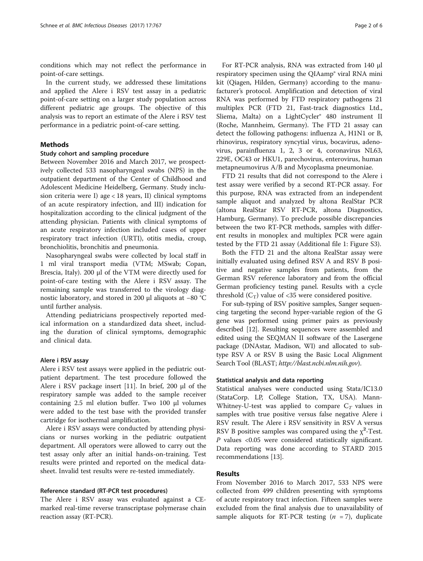conditions which may not reflect the performance in point-of-care settings.

In the current study, we addressed these limitations and applied the Alere i RSV test assay in a pediatric point-of-care setting on a larger study population across different pediatric age groups. The objective of this analysis was to report an estimate of the Alere i RSV test performance in a pediatric point-of-care setting.

## Methods

## Study cohort and sampling procedure

Between November 2016 and March 2017, we prospectively collected 533 nasopharyngeal swabs (NPS) in the outpatient department of the Center of Childhood and Adolescent Medicine Heidelberg, Germany. Study inclusion criteria were I) age < 18 years, II) clinical symptoms of an acute respiratory infection, and III) indication for hospitalization according to the clinical judgment of the attending physician. Patients with clinical symptoms of an acute respiratory infection included cases of upper respiratory tract infection (URTI), otitis media, croup, bronchiolitis, bronchitis and pneumonia.

Nasopharyngeal swabs were collected by local staff in 1 ml viral transport media (VTM; MSwab; Copan, Brescia, Italy). 200 μl of the VTM were directly used for point-of-care testing with the Alere i RSV assay. The remaining sample was transferred to the virology diagnostic laboratory, and stored in 200 μl aliquots at −80 °C until further analysis.

Attending pediatricians prospectively reported medical information on a standardized data sheet, including the duration of clinical symptoms, demographic and clinical data.

#### Alere i RSV assay

Alere i RSV test assays were applied in the pediatric outpatient department. The test procedure followed the Alere i RSV package insert [\[11\]](#page-5-0). In brief, 200 μl of the respiratory sample was added to the sample receiver containing 2.5 ml elution buffer. Two 100 μl volumes were added to the test base with the provided transfer cartridge for isothermal amplification.

Alere i RSV assays were conducted by attending physicians or nurses working in the pediatric outpatient department. All operators were allowed to carry out the test assay only after an initial hands-on-training. Test results were printed and reported on the medical datasheet. Invalid test results were re-tested immediately.

#### Reference standard (RT-PCR test procedures)

The Alere i RSV assay was evaluated against a CEmarked real-time reverse transcriptase polymerase chain reaction assay (RT-PCR).

For RT-PCR analysis, RNA was extracted from 140 μl respiratory specimen using the QIAamp® viral RNA mini kit (Qiagen, Hilden, Germany) according to the manufacturer's protocol. Amplification and detection of viral RNA was performed by FTD respiratory pathogens 21 multiplex PCR (FTD 21, Fast-track diagnostics Ltd., Sliema, Malta) on a LightCycler® 480 instrument II (Roche, Mannheim, Germany). The FTD 21 assay can detect the following pathogens: influenza A, H1N1 or B, rhinovirus, respiratory syncytial virus, bocavirus, adenovirus, parainfluenza 1, 2, 3 or 4, coronavirus NL63, 229E, OC43 or HKU1, parechovirus, enterovirus, human metapneumovirus A/B and Mycoplasma pneumoniae.

FTD 21 results that did not correspond to the Alere i test assay were verified by a second RT-PCR assay. For this purpose, RNA was extracted from an independent sample aliquot and analyzed by altona RealStar PCR (altona RealStar RSV RT-PCR, altona Diagnostics, Hamburg, Germany). To preclude possible discrepancies between the two RT-PCR methods, samples with different results in monoplex and multiplex PCR were again tested by the FTD 21 assay (Additional file [1:](#page-4-0) Figure S3).

Both the FTD 21 and the altona RealStar assay were initially evaluated using defined RSV A and RSV B positive and negative samples from patients, from the German RSV reference laboratory and from the official German proficiency testing panel. Results with a cycle threshold  $(C_T)$  value of <35 were considered positive.

For sub-typing of RSV positive samples, Sanger sequencing targeting the second hyper-variable region of the G gene was performed using primer pairs as previously described [\[12\]](#page-5-0). Resulting sequences were assembled and edited using the SEQMAN II software of the Lasergene package (DNAstar, Madison, WI) and allocated to subtype RSV A or RSV B using the Basic Local Alignment Search Tool (BLAST; <http://blast.ncbi.nlm.nih.gov>).

#### Statistical analysis and data reporting

Statistical analyses were conducted using Stata/IC13.0 (StataCorp. LP, College Station, TX, USA). Mann-Whitney-U-test was applied to compare  $C_T$  values in samples with true positive versus false negative Alere i RSV result. The Alere i RSV sensitivity in RSV A versus RSV B positive samples was compared using the  $\chi^2$ -Test. P values <0.05 were considered statistically significant. Data reporting was done according to STARD 2015 recommendations [\[13](#page-5-0)].

## Results

From November 2016 to March 2017, 533 NPS were collected from 499 children presenting with symptoms of acute respiratory tract infection. Fifteen samples were excluded from the final analysis due to unavailability of sample aliquots for RT-PCR testing  $(n = 7)$ , duplicate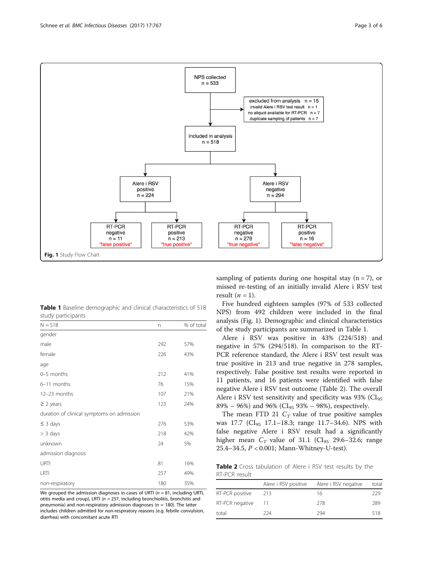

Table 1 Baseline demographic and clinical characteristics of 518 study participants

| $N = 518$                                  | n   | % of total |
|--------------------------------------------|-----|------------|
| gender                                     |     |            |
| male                                       | 292 | 57%        |
| female                                     | 226 | 43%        |
| age                                        |     |            |
| 0-5 months                                 | 212 | 41%        |
| 6-11 months                                | 76  | 15%        |
| 12-23 months                               | 107 | 21%        |
| $\geq$ 2 years                             | 123 | 24%        |
| duration of clinical symptoms on admission |     |            |
| $\leq$ 3 days                              | 276 | 53%        |
| $> 3$ days                                 | 218 | 42%        |
| unknown                                    | 24  | 5%         |
| admission diagnosis                        |     |            |
| URTI                                       | 81  | 16%        |
| LRTI                                       | 257 | 49%        |
| non-respiratory                            | 180 | 35%        |

We grouped the admission diagnoses in cases of URTI ( $n = 81$ , including URTI, otitis media and croup), LRTI ( $n = 257$ , including bronchiolitis, bronchitis and pneumonia) and non-respiratory admission diagnoses ( $n = 180$ ). The latter includes children admitted for non-respiratory reasons (e.g. febrile convulsion, diarrhea) with concomitant acute RTI

sampling of patients during one hospital stay  $(n = 7)$ , or missed re-testing of an initially invalid Alere i RSV test result  $(n = 1)$ .

Five hundred eighteen samples (97% of 533 collected NPS) from 492 children were included in the final analysis (Fig. 1). Demographic and clinical characteristics of the study participants are summarized in Table 1.

Alere i RSV was positive in 43% (224/518) and negative in 57% (294/518). In comparison to the RT-PCR reference standard, the Alere i RSV test result was true positive in 213 and true negative in 278 samples, respectively. False positive test results were reported in 11 patients, and 16 patients were identified with false negative Alere i RSV test outcome (Table 2). The overall Alere i RSV test sensitivity and specificity was  $93\%$  (CI<sub>95</sub>) 89% – 96%) and 96% (CI<sub>95</sub> 93% – 98%), respectively.

The mean FTD 21  $C_T$  value of true positive samples was 17.7 (CI<sub>95</sub> 17.1-18.3; range 11.7-34.6). NPS with false negative Alere i RSV result had a significantly higher mean  $C_T$  value of 31.1 (CI<sub>95</sub> 29.6–32.6; range 25.4–34.5, P < 0.001; Mann-Whitney-U-test).

Table 2 Cross tabulation of Alere i RSV test results by the RT-PCR result

|                 |     | Alere i RSV positive Alere i RSV negative | total |
|-----------------|-----|-------------------------------------------|-------|
| RT-PCR positive | 213 | 16                                        | 229   |
| RT-PCR negative | -11 | 278                                       | 289   |
| total           | 224 | 294                                       | 518   |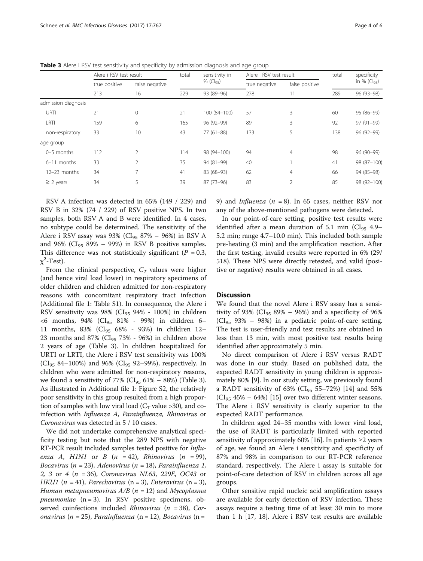|                     | Alere i RSV test result |                | sensitivity in<br>total | Alere i RSV test result     |                      | total                | specificity |                                |
|---------------------|-------------------------|----------------|-------------------------|-----------------------------|----------------------|----------------------|-------------|--------------------------------|
|                     | true positive<br>213    | false negative |                         | % $(Cl_{95})$<br>93 (89-96) | true negative<br>278 | false positive<br>11 | 289         | in % $(Cl_{95})$<br>96 (93-98) |
|                     |                         | 16<br>229      |                         |                             |                      |                      |             |                                |
| admission diagnosis |                         |                |                         |                             |                      |                      |             |                                |
| URTI                | 21                      | $\mathbf 0$    | 21                      | 100 (84-100)                | 57                   | 3                    | 60          | 95 (86-99)                     |
| LRTI                | 159                     | 6              | 165                     | 96 (92-99)                  | 89                   | 3                    | 92          | 97 (91-99)                     |
| non-respiratory     | 33                      | 10             | 43                      | $77(61 - 88)$               | 133                  | 5                    | 138         | 96 (92-99)                     |
| age group           |                         |                |                         |                             |                      |                      |             |                                |
| 0-5 months          | 112                     | $\overline{2}$ | 114                     | 98 (94-100)                 | 94                   | $\overline{4}$       | 98          | 96 (90-99)                     |
| 6-11 months         | 33                      | $\overline{2}$ | 35                      | 94 (81-99)                  | 40                   |                      | 41          | 98 (87-100)                    |
| 12-23 months        | 34                      |                | 41                      | 83 (68-93)                  | 62                   | 4                    | 66          | 94 (85-98)                     |
| $\geq$ 2 years      | 34                      |                | 39                      | 87 (73-96)                  | 83                   |                      | 85          | 98 (92-100)                    |
|                     |                         |                |                         |                             |                      |                      |             |                                |

**Table 3** Alere i RSV test sensitivity and specificity by admission diagnosis and age group

RSV A infection was detected in 65% (149 / 229) and RSV B in 32% (74 / 229) of RSV positive NPS. In two samples, both RSV A and B were identified. In 4 cases, no subtype could be determined. The sensitivity of the Alere i RSV assay was 93% ( $CI_{95}$  87% – 96%) in RSV A and 96% ( $CI_{95}$  89% – 99%) in RSV B positive samples. This difference was not statistically significant ( $P = 0.3$ ,  $\chi^2$ -Test).

From the clinical perspective,  $C_T$  values were higher (and hence viral load lower) in respiratory specimens of older children and children admitted for non-respiratory reasons with concomitant respiratory tract infection (Additional file [1](#page-4-0): Table S1). In consequence, the Alere i RSV sensitivity was 98% ( $CI_{95}$  94% - 100%) in children <6 months, 94% (CI95 81% - 99%) in children 6– 11 months, 83% (CI95 68% - 93%) in children 12– 23 months and 87% ( $CI_{95}$  73% - 96%) in children above 2 years of age (Table 3). In children hospitalized for URTI or LRTI, the Alere i RSV test sensitivity was 100% (CI<sub>95</sub> 84-100%) and 96% (CI<sub>95</sub> 92-99%), respectively. In children who were admitted for non-respiratory reasons, we found a sensitivity of 77% ( $CI_{95}$  61% – 88%) (Table 3). As illustrated in Additional file [1](#page-4-0): Figure S2, the relatively poor sensitivity in this group resulted from a high proportion of samples with low viral load ( $C_T$  value >30), and coinfection with Influenza A, Parainfluenza, Rhinovirus or Coronavirus was detected in 5 / 10 cases.

We did not undertake comprehensive analytical specificity testing but note that the 289 NPS with negative RT-PCR result included samples tested positive for Influenza A, H1N1 or B  $(n = 42)$ , Rhinovirus  $(n = 99)$ , Bocavirus (n = 23), Adenovirus (n = 18), Parainfluenza 1, 2, 3 or 4 (n = 36), Coronavirus NL63, 229E, OC43 or HKU1 ( $n = 41$ ), Parechovirus ( $n = 3$ ), Enterovirus ( $n = 3$ ), Human metapneumovirus  $A/B$  ( $n = 12$ ) and Mycoplasma pneumoniae  $(n = 3)$ . In RSV positive specimens, observed coinfections included *Rhinovirus* ( $n = 38$ ), Coronavirus (n = 25), Parainfluenza (n = 12), Bocavirus (n =

9) and *Influenza* ( $n = 8$ ). In 65 cases, neither RSV nor any of the above-mentioned pathogens were detected.

In our point-of-care setting, positive test results were identified after a mean duration of 5.1 min ( $CI_{95}$  4.9– 5.2 min; range 4.7–10.0 min). This included both sample pre-heating (3 min) and the amplification reaction. After the first testing, invalid results were reported in 6% (29/ 518). These NPS were directly retested, and valid (positive or negative) results were obtained in all cases.

#### **Discussion**

We found that the novel Alere i RSV assay has a sensitivity of 93% ( $CI_{95}$  89% – 96%) and a specificity of 96%  $(Cl_{95}$  93% – 98%) in a pediatric point-of-care setting. The test is user-friendly and test results are obtained in less than 13 min, with most positive test results being identified after approximately 5 min.

No direct comparison of Alere i RSV versus RADT was done in our study. Based on published data, the expected RADT sensitivity in young children is approximately 80% [\[9](#page-5-0)]. In our study setting, we previously found a RADT sensitivity of 63% (CI<sub>95</sub> 55–72%) [\[14](#page-5-0)] and 55%  $(Cl_{95} 45\% - 64\%)$  [\[15](#page-5-0)] over two different winter seasons. The Alere i RSV sensitivity is clearly superior to the expected RADT performance.

In children aged 24–35 months with lower viral load, the use of RADT is particularly limited with reported sensitivity of approximately 60% [\[16](#page-5-0)]. In patients ≥2 years of age, we found an Alere i sensitivity and specificity of 87% and 98% in comparison to our RT-PCR reference standard, respectively. The Alere i assay is suitable for point-of-care detection of RSV in children across all age groups.

Other sensitive rapid nucleic acid amplification assays are available for early detection of RSV infection. These assays require a testing time of at least 30 min to more than 1 h [\[17](#page-5-0), [18](#page-5-0)]. Alere i RSV test results are available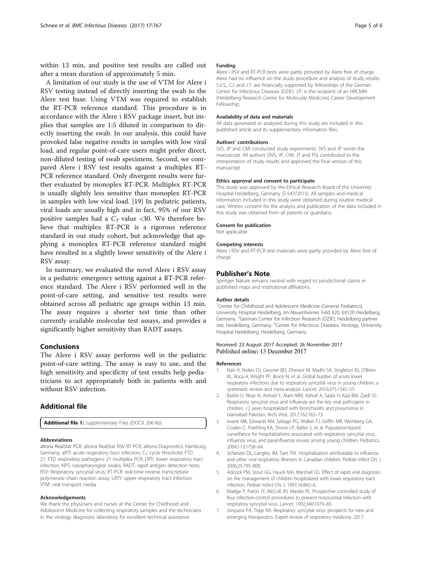<span id="page-4-0"></span>within 13 min, and positive test results are called out after a mean duration of approximately 5 min.

A limitation of our study is the use of VTM for Alere i RSV testing instead of directly inserting the swab to the Alere test base. Using VTM was required to establish the RT-PCR reference standard. This procedure is in accordance with the Alere i RSV package insert, but implies that samples are 1:5 diluted in comparison to directly inserting the swab. In our analysis, this could have provoked false negative results in samples with low viral load, and regular point-of-care users might prefer direct, non-diluted testing of swab specimens. Second, we compared Alere i RSV test results against a multiplex RT-PCR reference standard. Only divergent results were further evaluated by monoplex RT-PCR. Multiplex RT-PCR is usually slightly less sensitive than monoplex RT-PCR in samples with low viral load. [\[19\]](#page-5-0) In pediatric patients, viral loads are usually high and in fact, 95% of our RSV positive samples had a  $C_T$  value <30. We therefore believe that multiplex RT-PCR is a rigorous reference standard in our study cohort, but acknowledge that applying a monoplex RT-PCR reference standard might have resulted in a slightly lower sensitivity of the Alere i RSV assay.

In summary, we evaluated the novel Alere i RSV assay in a pediatric emergency setting against a RT-PCR reference standard. The Alere i RSV performed well in the point-of-care setting, and sensitive test results were obtained across all pediatric age groups within 13 min. The assay requires a shorter test time than other currently available molecular test assays, and provides a significantly higher sensitivity than RADT assays.

### Conclusions

The Alere i RSV assay performs well in the pediatric point-of-care setting. The assay is easy to use, and the high sensitivity and specificity of test results help pediatricians to act appropriately both in patients with and without RSV infection.

## Additional file

[Additional file 1:](dx.doi.org/10.1186/s12879-017-2855-1) Supplementary Files (DOCX 206 kb)

#### Abbreviations

altona RealStar PCR: altona RealStar RSV RT-PCR, altona Diagnostics, Hamburg, Germany; aRTI: acute respiratory tract infection; CT: cycle threshold; FTD 21: FTD respiratory pathogens 21 multiplex PCR; LRTI: lower respiratory tract infection; NPS: nasopharyngeal swabs; RADT: rapid antigen detection tests; RSV: Respiratory syncytial virus; RT-PCR: real-time reverse transcriptase polymerase chain reaction assay; URTI: upper respiratory tract infection; VTM: viral transport media

#### Acknowledgements

We thank the physicians and nurses at the Center for Childhood and Adolescent Medicine for collecting respiratory samples and the technicians in the virology diagnostic laboratory for excellent technical assistance.

#### Funding

Alere i RSV and RT-PCR tests were partly provided by Alere free of charge. Alere had no influence on the study procedure and analysis of study results. S.V.S., C.I. and J.T. are financially supported by fellowships of the German Center for Infectious Diseases (DZIF). J.P. is the recipient of an HRCMM (Heidelberg Research Center for Molecular Medicine) Career Development Fellowship.

#### Availability of data and materials

All data generated or analysed during this study are included in this published article and its supplementary information files.

#### Authors' contributions

SVS, JP and CMI conducted study experiments. SVS and JP wrote the manuscript. All authors (SVS, JP, CMI, JT and PS) contributed to the interpretation of study results and approved the final version of this manuscript.

#### Ethics approval and consent to participate

This study was approved by the Ethical Research Board of the University Hospital Heidelberg, Germany (S-547/2015). All samples and medical information included in this study were obtained during routine medical care. Written consent for the analysis and publication of the data included in this study was obtained from all parents or guardians.

#### Consent for publication

Not applicable

#### Competing interests

Alere i RSV and RT-PCR test materials were partly provided by Alere free of charge.

#### Publisher's Note

Springer Nature remains neutral with regard to jurisdictional claims in published maps and institutional affiliations.

#### Author details

<sup>1</sup> Center for Childhood and Adolescent Medicine (General Pediatrics), University Hospital Heidelberg, Im Neuenheimer Feld 420, 69120 Heidelberg, Germany. <sup>2</sup>German Center for Infection Research (DZIF), Heidelberg partner site, Heidelberg, Germany. <sup>3</sup>Center for Infectious Diseases, Virology, University Hospital Heidelberg, Heidelberg, Germany.

#### Received: 23 August 2017 Accepted: 26 November 2017 Published online: 13 December 2017

#### References

- 1. Nair H, Nokes DJ, Gessner BD, Dherani M, Madhi SA, Singleton RJ, O'Brien KL, Roca A, Wright PF, Bruce N, et al. Global burden of acute lower respiratory infections due to respiratory syncytial virus in young children: a systematic review and meta-analysis. Lancet. 2010;375:1545–55.
- 2. Bashir U, Nisar N, Arshad Y, Alam MM, Ashraf A, Sadia H, Kazi BM, Zaidi SS. Respiratory syncytial virus and influenza are the key viral pathogens in children <2 years hospitalized with bronchiolitis and pneumonia in Islamabad Pakistan. Arch Virol. 2017;162:763–73.
- 3. Iwane MK, Edwards KM, Szilagyi PG, Walker FJ, Griffin MR, Weinberg GA, Coulen C, Poehling KA, Shone LP, Balter S, et al. Population-based surveillance for hospitalizations associated with respiratory syncytial virus, influenza virus, and parainfluenza viruses among young children. Pediatrics. 2004;113:1758–64.
- 4. Schanzer DL, Langley JM, Tam TW. Hospitalization attributable to influenza and other viral respiratory illnesses in Canadian children. Pediatr Infect Dis J. 2006;25:795–800.
- 5. Adcock PM, Stout GG, Hauck MA, Marshall GS. Effect of rapid viral diagnosis on the management of children hospitalized with lower respiratory tract infection. Pediatr Infect Dis J. 1997;16:842–6.
- 6. Madge P, Paton JY, McColl JH, Mackie PL. Prospective controlled study of four infection-control procedures to prevent nosocomial infection with respiratory syncytial virus. Lancet. 1992;340:1079–83.
- 7. Jorquera PA, Tripp RA. Respiratory syncytial virus: prospects for new and emerging therapeutics. Expert review of respiratory medicine. 2017;